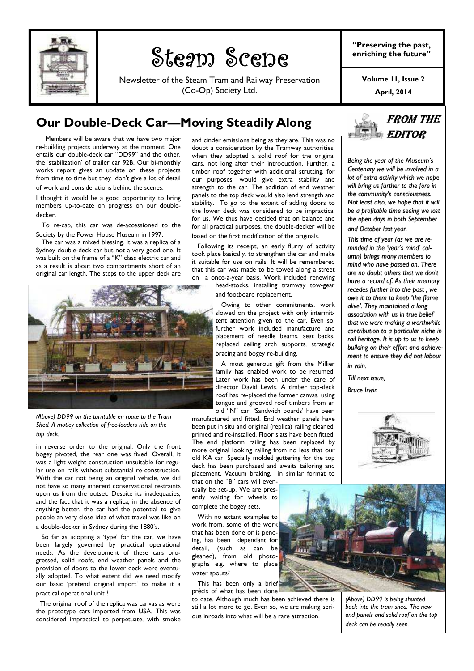

# Steam Scene Steam Scene

Newsletter of the Steam Tram and Railway Preservation (Co-Op) Society Ltd.

"Preserving the past, enriching the future"

> April, 2014 Volume 11, Issue 2

### Our Double-Deck Car—Moving Steadily Along

 Members will be aware that we have two major re-building projects underway at the moment. One entails our double-deck car "DD99" and the other, the 'stabilization' of trailer car 92B. Our bi-monthly works report gives an update on these projects from time to time but they don't give a lot of detail of work and considerations behind the scenes.

I thought it would be a good opportunity to bring members up-to-date on progress on our doubledecker.

 To re-cap, this car was de-accessioned to the Society by the Power House Museum in 1997.

 The car was a mixed blessing. It was a replica of a Sydney double-deck car but not a very good one. It was built on the frame of a "K" class electric car and as a result is about two compartments short of an original car length. The steps to the upper deck are



(Above) DD99 on the turntable en route to the Tram Shed. A motley collection of free-loaders ride on the top deck.

in reverse order to the original. Only the front bogey pivoted, the rear one was fixed. Overall, it was a light weight construction unsuitable for regular use on rails without substantial re-construction. With the car not being an original vehicle, we did not have so many inherent conservational restraints upon us from the outset. Despite its inadequacies, and the fact that it was a replica, in the absence of anything better, the car had the potential to give people an very close idea of what travel was like on a double-decker in Sydney during the 1880's.

 So far as adopting a 'type' for the car, we have been largely governed by practical operational needs. As the development of these cars progressed, solid roofs, end weather panels and the provision of doors to the lower deck were eventually adopted. To what extent did we need modify our basic 'pretend original import' to make it a practical operational unit ?

 The original roof of the replica was canvas as were the prototype cars imported from USA. This was considered impractical to perpetuate, with smoke and cinder emissions being as they are. This was no doubt a consideration by the Tramway authorities, when they adopted a solid roof for the original cars, not long after their introduction. Further, a timber roof together with additional strutting, for our purposes, would give extra stability and strength to the car. The addition of end weather panels to the top deck would also lend strength and stability. To go to the extent of adding doors to the lower deck was considered to be impractical for us. We thus have decided that on balance and for all practical purposes, the double-decker will be based on the first modification of the originals.

 Following its receipt, an early flurry of activity took place basically, to strengthen the car and make it suitable for use on rails. It will be remembered that this car was made to be towed along a street on a once-a-year basis. Work included renewing head-stocks, installing tramway tow-gear

and footboard replacement.

 Owing to other commitments, work slowed on the project with only intermittent attention given to the car. Even so, further work included manufacture and placement of needle beams, seat backs, .<br>replaced ceiling arch supports, strategic bracing and bogey re-building.

 A most generous gift from the Millier family has enabled work to be resumed. Later work has been under the care of director David Lewis. A timber top-deck roof has re-placed the former canvas, using tongue and grooved roof timbers from an old "N" car. 'Sandwich boards' have been

manufactured and fitted. End weather panels have been put in situ and original (replica) railing cleaned, primed and re-installed. Floor slats have been fitted. The end platform railing has been replaced by more original looking railing from no less that our old KA car. Specially molded guttering for the top deck has been purchased and awaits tailoring and placement. Vacuum braking, in similar format to

that on the "B" cars will eventually be set-up. We are presently waiting for wheels to complete the bogey sets.

 With no extant examples to work from, some of the work that has been done or is pending, has been dependant for detail, (such as can be gleaned), from old photographs e.g. where to place water spouts?

 This has been only a brief précis of what has been done

to date. Although much has been achieved there is still a lot more to go. Even so, we are making serious inroads into what will be a rare attraction.



(Above) DD99 is being shunted back into the tram shed. The new end panels and solid roof on the top deck can be readily seen.



Being the year of the Museum's Centenary we will be involved in a lot of extra activity which we hope will bring us further to the fore in the community's consciousness. Not least also, we hope that it will be a profitable time seeing we lost the open days in both September and October last year.

This time of year (as we are reminded in the 'year's mind' column) brings many members to mind who have passed on. There are no doubt others that we don't have a record of. As their memory recedes further into the past , we owe it to them to keep 'the flame alive'. They maintained a long association with us in true belief that we were making a worthwhile contribution to a particular niche in rail heritage. It is up to us to keep building on their effort and achievement to ensure they did not labour in vain.

Till next issue,

Bruce Irwin

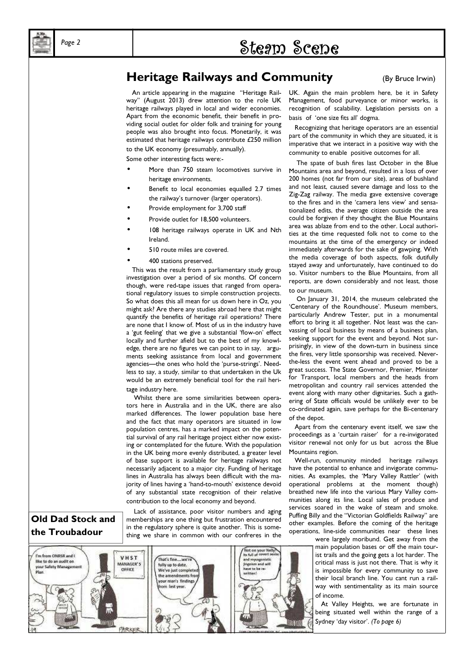# $\mathcal{P}_{\text{age 2}}$  . Steam Scene

### Heritage Railways and Community (By Bruce Irwin)

 An article appearing in the magazine "Heritage Railway" (August 2013) drew attention to the role UK heritage railways played in local and wider economies. Apart from the economic benefit, their benefit in providing social outlet for older folk and training for young people was also brought into focus. Monetarily, it was estimated that heritage railways contribute £250 million to the UK economy (presumably, annually).

Some other interesting facts were:-

- More than 750 steam locomotives survive in heritage environments.
- Benefit to local economies equalled 2.7 times the railway's turnover (larger operators).
- Provide employment for 3.700 staff
- Provide outlet for 18,500 volunteers.
- 108 heritage railways operate in UK and Nth Ireland.
- 510 route miles are covered.
- 400 stations preserved.

 This was the result from a parliamentary study group investigation over a period of six months. Of concern though, were red-tape issues that ranged from operational regulatory issues to simple construction projects. So what does this all mean for us down here in Oz, you might ask? Are there any studies abroad here that might quantify the benefits of heritage rail operations? There are none that I know of. Most of us in the industry have a 'gut feeling' that we give a substantial 'flow-on' effect locally and further afield but to the best of my knowledge, there are no figures we can point to in say, arguments seeking assistance from local and government agencies—the ones who hold the 'purse-strings'. Needless to say, a study, similar to that undertaken in the Uk would be an extremely beneficial tool for the rail heritage industry here.

 Whilst there are some similarities between operators here in Australia and in the UK, there are also marked differences. The lower population base here and the fact that many operators are situated in low population centres, has a marked impact on the poten-

tial survival of any rail heritage project either now existing or contemplated for the future. With the population in the UK being more evenly distributed, a greater level of base support is available for heritage railways not necessarily adjacent to a major city. Funding of heritage lines in Australia has always been difficult with the majority of lines having a 'hand-to-mouth' existence devoid of any substantial state recognition of their relative contribution to the local economy and beyond.

 Lack of assistance, poor visitor numbers and aging memberships are one thing but frustration encountered



PARKI

UK. Again the main problem here, be it in Safety Management, food purveyance or minor works, is recognition of scalability. Legislation persists on a basis of 'one size fits all' dogma.

 Recognizing that heritage operators are an essential part of the community in which they are situated, it is imperative that we interact in a positive way with the community to enable positive outcomes for all.

 The spate of bush fires last October in the Blue Mountains area and beyond, resulted in a loss of over 200 homes (not far from our site), areas of bushland and not least, caused severe damage and loss to the Zig-Zag railway. The media gave extensive coverage to the fires and in the 'camera lens view' and sensationalized edits, the average citizen outside the area could be forgiven if they thought the Blue Mountains area was ablaze from end to the other. Local authorities at the time requested folk not to come to the mountains at the time of the emergency or indeed immediately afterwards for the sake of gawping. With the media coverage of both aspects, folk dutifully stayed away and unfortunately, have continued to do so. Visitor numbers to the Blue Mountains, from all reports, are down considerably and not least, those to our museum.

 On January 31, 2014, the museum celebrated the 'Centenary of the Roundhouse'. Museum members, particularly Andrew Tester, put in a monumental effort to bring it all together. Not least was the canvassing of local business by means of a business plan, seeking support for the event and beyond. Not surprisingly, in view of the down-turn in business since the fires, very little sponsorship was received. Neverthe-less the event went ahead and proved to be a great success. The State Governor, Premier, Minister for Transport, local members and the heads from metropolitan and country rail services attended the event along with many other dignitaries. Such a gathering of State officials would be unlikely ever to be co-ordinated again, save perhaps for the Bi-centenary of the depot.

 Apart from the centenary event itself, we saw the proceedings as a 'curtain raiser' for a re-invigorated visitor renewal not only for us but across the Blue Mountains region.

 Well-run, community minded heritage railways have the potential to enhance and invigorate communities. As examples, the 'Mary Valley Rattler' (with operational problems at the moment though) breathed new life into the various Mary Valley communities along its line. Local sales of produce and services soared in the wake of steam and smoke. Puffing Billy and the "Victorian Goldfields Railway" are other examples. Before the coming of the heritage operations, line-side communities near these lines

were largely moribund. Get away from the main population bases or off the main tourist trails and the going gets a lot harder. The critical mass is just not there. That is why it is impossible for every community to save their local branch line. You cant run a railway with sentimentality as its main source of income.

 At Valley Heights, we are fortunate in being situated well within the range of a Sydney 'day visitor'. (To page 6)

asa

### Old Dad Stock and the Troubadour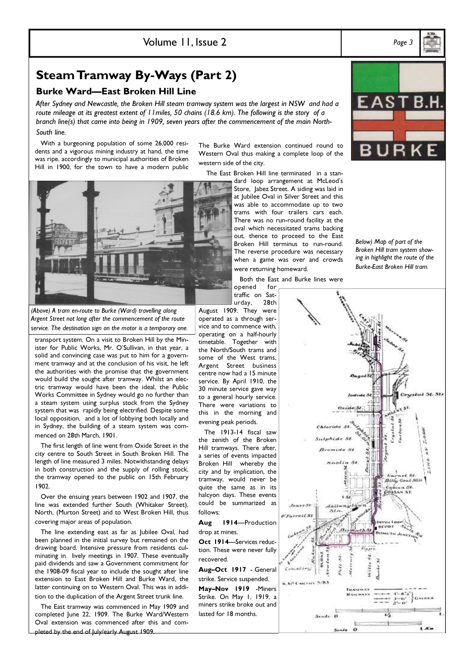Volume 11, Issue 2 Page 3

Steam Tramway By-Ways (Part 2)

### Burke Ward—East Broken Hill Line

After Sydney and Newcastle, the Broken Hill steam tramway system was the largest in NSW and had a route mileage at its greatest extent of 11 miles, 50 chains (18.6 km). The following is the story of a branch line(s) that came into being in 1909, seven years after the commencement of the main North-South line.

 With a burgeoning population of some 26,000 residents and a vigorous mining industry at hand, the time was ripe, accordingly to municipal authorities of Broken Hill in 1900, for the town to have a modern public

The Burke Ward extension continued round to Western Oval thus making a complete loop of the western side of the city.

The East Broken Hill line terminated in a stan-

dard loop arrangement at McLeod's Store, Jabez Street. A siding was laid in at Jubilee Oval in Silver Street and this was able to accommodate up to two trams with four trailers cars each. There was no run-round facility at the oval which necessitated trams backing out, thence to proceed to the East Broken Hill terminus to run-round. The reverse procedure was necessary when a game was over and crowds were returning homeward.

Both the East and Burke lines were

opened for traffic on Saturday, 28th August 1909. They were

(Above) A tram en-route to Burke (Ward) travelling along Argent Street not long after the commencement of the route service. The destination sign on the motor is a temporary one.

transport system. On a visit to Broken Hill by the Minister for Public Works, Mr. O'Sullivan, in that year, a solid and convincing case was put to him for a government tramway and at the conclusion of his visit, he left the authorities with the promise that the government would build the sought after tramway. Whilst an electric tramway would have been the ideal, the Public Works Committee in Sydney would go no further than a steam system using surplus stock from the Sydney system that was rapidly being electrified. Despite some local opposition, and a lot of lobbying both locally and in Sydney, the building of a steam system was commenced on 28th March, 1901.

 The first length of line went from Oxide Street in the city centre to South Street in South Broken Hill. The length of line measured 3 miles. Notwithstanding delays in both construction and the supply of rolling stock, the tramway opened to the public on 15th February 1902.

 Over the ensuing years between 1902 and 1907, the line was extended further South (Whitaker Street), North, (Murton Street) and to West Broken Hill, thus covering major areas of population.

 The line extending east as far as Jubilee Oval, had been planned in the initial survey but remained on the drawing board. Intensive pressure from residents culminating in lively meetings in 1907. These eventually paid dividends and saw a Government commitment for the 1908-09 fiscal year to include the sought after line extension to East Broken Hill and Burke Ward, the latter continuing on to Western Oval. This was in addition to the duplication of the Argent Street trunk line.

 The East tramway was commenced in May 1909 and completed June 22, 1909. The Burke Ward/Western Oval extension was commenced after this and completed by the end of July/early August 1909.

operated as a through service and to commence with, operating on a half-hourly timetable. Together with the North/South trams and some of the West trams, Argent Street business centre now had a 15 minute service. By April 1910, the 30 minute service gave way to a general hourly service. There were variations to this in the morning and evening peak periods.

 The 1913-14 fiscal saw the zenith of the Broken Hill tramways. There after, a series of events impacted Broken Hill whereby the city and by implication, the tramway, would never be quite the same as in its halcyon days. These events could be summarized as follows:

Aug 1914—Production drop at mines.

Oct 1914—Services reduction. These were never fully recovered.

Aug–Oct 1917 - General strike. Service suspended. May–Nov 1919 -Miners Strike. On May 1, 1919, a miners strike broke out and

lasted for 18 months.



 $i$   $\kappa$ 

Scale 0

Sende  $\Omega$ 





Below) Map of part of the Broken Hill tram system showing in highlight the route of the

Burke-East Broken Hill tram.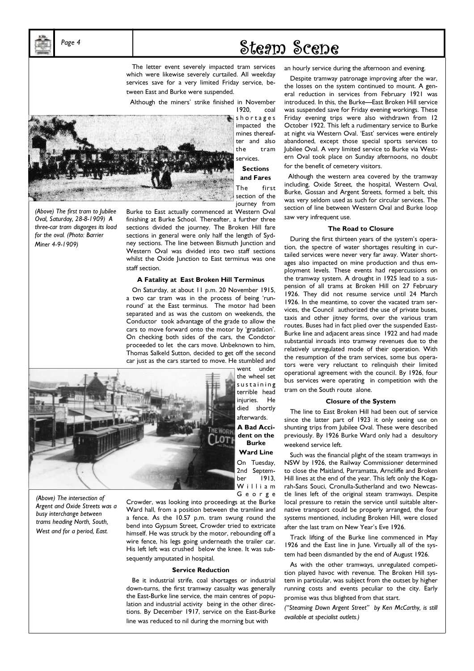## $P_{age}$  4 and  $P_{age}$  5 and  $P_{age}$  5  $P_{age}$  5  $P_{age}$  5  $P_{age}$  5  $P_{age}$  5  $P_{age}$  5  $P_{age}$  5  $P_{age}$  5  $P_{age}$  5  $P_{age}$  5  $P_{age}$  5  $P_{age}$  5  $P_{age}$  5  $P_{age}$  5  $P_{ge}$  5  $P_{ge}$  5  $P_{ge}$  5  $P_{ge}$  5  $P_{ge}$  5  $P_{ge}$  5  $P_{ge}$  5  $P_{ge}$

 The letter event severely impacted tram services which were likewise severely curtailed. All weekday services save for a very limited Friday service, between East and Burke were suspended.

Although the miners' strike finished in November

1920, coal s h o r t a g e s impacted the mines thereafter and also the tram

> services. **Sections**

and Fares The first

section of the journey from

(Above) The first tram to Jubilee Oval, Saturday, 28-8-1909) A three-car tram disgorges its load for the oval. (Photo: Barrier Miner 4-9-1909)

Burke to East actually commenced at Western Oval finishing at Burke School. Thereafter, a further three sections divided the journey. The Broken Hill fare sections in general were only half the length of Sydney sections. The line between Bismuth Junction and Western Oval was divided into two staff sections whilst the Oxide Junction to East terminus was one staff section.

### A Fatality at East Broken Hill Terminus

 On Saturday, at about 11 p.m. 20 November 1915, a two car tram was in the process of being 'runround' at the East terminus. The motor had been separated and as was the custom on weekends, the Conductor took advantage of the grade to allow the cars to move forward onto the motor by 'gradation'. On checking both sides of the cars, the Condctor proceeded to let the cars move. Unbeknown to him, Thomas Salkeld Sutton, decided to get off the second car just as the cars started to move. He stumbled and



went under the wheel set s u s t a i n i n g terrible head injuries. He died shortly afterwards.

A Bad Accident on the Burke

Ward Line On Tuesday, 2nd September 1913, W illiam G e o r g e

Crowder, was looking into proceedings at the Burke Ward hall, from a position between the tramline and a fence. As the 10.57 p.m. tram swung round the bend into Gypsum Street, Crowder tried to extricate himself. He was struck by the motor, rebounding off a wire fence, his legs going underneath the trailer car. His left left was crushed below the knee. It was subsequently amputated in hospital.

### Service Reduction

 Be it industrial strife, coal shortages or industrial down-turns, the first tramway casualty was generally the East-Burke line service, the main centres of population and industrial activity being in the other directions. By December 1917, service on the East-Burke line was reduced to nil during the morning but with

an hourly service during the afternoon and evening.

 Despite tramway patronage improving after the war, the losses on the system continued to mount. A general reduction in services from February 1921 was introduced. In this, the Burke—East Broken Hill service was suspended save for Friday evening workings. These Friday evening trips were also withdrawn from 12 October 1922. This left a rudimentary service to Burke at night via Western Oval. 'East' services were entirely abandoned, except those special sports services to Jubilee Oval. A very limited service to Burke via Western Oval took place on Sunday afternoons, no doubt for the benefit of cemetery visitors.

 Although the western area covered by the tramway including, Oxide Street, the hospital, Western Oval, Burke, Gossan and Argent Streets, formed a belt, this was very seldom used as such for circular services. The section of line between Western Oval and Burke loop saw very infrequent use.

#### The Road to Closure

 During the first thirteen years of the system's operation, the spectre of water shortages resulting in curtailed services were never very far away. Water shortages also impacted on mine production and thus employment levels. These events had repercussions on the tramway system. A drought in 1925 lead to a suspension of all trams at Broken Hill on 27 February 1926. They did not resume service until 24 March 1926. In the meantime, to cover the vacated tram services, the Council authorized the use of private buses, taxis and other jitney forms, over the various tram routes. Buses had in fact plied over the suspended East-Burke line and adjacent areas since 1922 and had made substantial inroads into tramway revenues due to the relatively unregulated mode of their operation. With the resumption of the tram services, some bus operators were very reluctant to relinquish their limited operational agreement with the council. By 1926, four bus services were operating in competition with the tram on the South route alone.

### Closure of the System

 The line to East Broken Hill had been out of service since the latter part of 1923 it only seeing use on shunting trips from Jubilee Oval. These were described previously. By 1926 Burke Ward only had a desultory weekend service left.

 Such was the financial plight of the steam tramways in NSW by 1926, the Railway Commissioner determined to close the Maitland, Parramatta, Arncliffe and Broken Hill lines at the end of the year. This left only the Kogarah-Sans Souci, Cronulla-Sutherland and two Newcastle lines left of the original steam tramways. Despite local pressure to retain the service until suitable alternative transport could be properly arranged, the four systems mentioned, including Broken Hill, were closed after the last tram on New Year's Eve 1926.

 Track lifting of the Burke line commenced in May 1926 and the East line in June. Virtually all of the system had been dismantled by the end of August 1926.

 As with the other tramways, unregulated competition played havoc with revenue. The Broken Hill system in particular, was subject from the outset by higher running costs and events peculiar to the city. Early promise was thus blighted from that start.

("Steaming Down Argent Street" by Ken McCarthy, is still available at specialist outlets.)

(Above) The intersection of Argent and Oxide Streets was a busy interchange between trams heading North, South, West and for a period, East.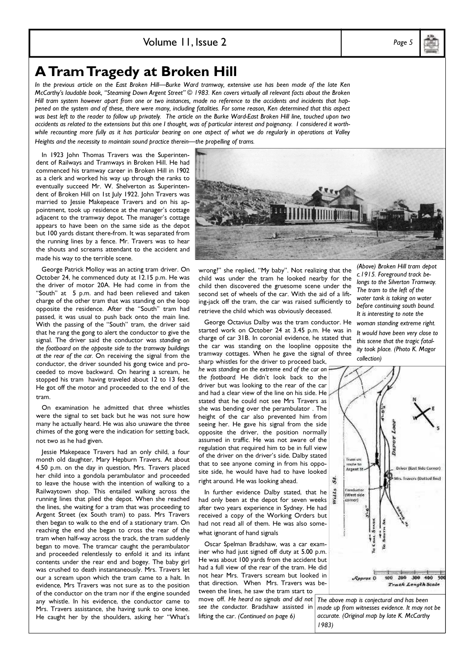### Volume 11, Issue 2 Page 5

### A Tram Tragedy at Broken Hill

In the previous article on the East Broken Hill—Burke Ward tramway, extensive use has been made of the late Ken McCarthy's laudable book, "Steaming Down Argent Street" © 1983. Ken covers virtually all relevant facts about the Broken Hill tram system however apart from one or two instances, made no reference to the accidents and incidents that happened on the system and of these, there were many, including fatalities. For some reason, Ken determined that this aspect was best left to the reader to follow up privately. The article on the Burke Ward-East Broken Hill line, touched upon two accidents as related to the extensions but this one I thought, was of particular interest and poignancy. I considered it worthwhile recounting more fully as it has particular bearing on one aspect of what we do regularly in operations at Valley Heights and the necessity to maintain sound practice therein—the propelling of trams.

 In 1923 John Thomas Travers was the Superintendent of Railways and Tramways in Broken Hill. He had commenced his tramway career in Broken Hill in 1902 as a clerk and worked his way up through the ranks to eventually succeed Mr. W. Shelverton as Superintendent of Broken Hill on 1st July 1922. John Travers was married to Jessie Makepeace Travers and on his appointment, took up residence at the manager's cottage adjacent to the tramway depot. The manager's cottage appears to have been on the same side as the depot but 100 yards distant there-from. It was separated from the running lines by a fence. Mr. Travers was to hear the shouts and screams attendant to the accident and made his way to the terrible scene.

 George Patrick Molloy was an acting tram driver. On October 24, he commenced duty at 12.15 p.m. He was the driver of motor 20A. He had come in from the "South" at 5 p.m. and had been relieved and taken charge of the other tram that was standing on the loop opposite the residence. After the "South" tram had passed, it was usual to push back onto the main line. With the passing of the "South" tram, the driver said that he rang the gong to alert the conductor to give the signal. The driver said the conductor was standing on the footboard on the opposite side to the tramway buildings at the rear of the car. On receiving the signal from the conductor, the driver sounded his gong twice and proceeded to move backward. On hearing a scream, he stopped his tram having traveled about 12 to 13 feet. He got off the motor and proceeded to the end of the tram.

 On examination he admitted that three whistles were the signal to set back but he was not sure how many he actually heard. He was also unaware the three chimes of the gong were the indication for setting back, not two as he had given.

 Jessie Makepeace Travers had an only child, a four month old daughter, Mary Hepburn Travers. At about 4.50 p.m. on the day in question, Mrs. Travers placed her child into a gondola perambulator and proceeded to leave the house with the intention of walking to a Railwaytown shop. This entailed walking across the running lines that plied the depot. When she reached the lines, she waiting for a tram that was proceeding to Argent Street (ex South tram) to pass. Mrs Travers then began to walk to the end of a stationary tram. On reaching the end she began to cross the rear of the tram when half-way across the track, the tram suddenly began to move. The tramcar caught the perambulator and proceeded relentlessly to enfold it and its infant contents under the rear end and bogey. The baby girl was crushed to death instantaneously. Mrs. Travers let our a scream upon which the tram came to a halt. In evidence, Mrs Travers was not sure as to the position of the conductor on the tram nor if the engine sounded any whistle. In his evidence, the conductor came to Mrs. Travers assistance, she having sunk to one knee. He caught her by the shoulders, asking her "What's

child was under the tram he looked nearby for the child then discovered the gruesome scene under the second set of wheels of the car. With the aid of a lifting-jack off the tram, the car was raised sufficiently to retrieve the child which was obviously deceased.

 George Octavius Dalby was the tram conductor. He started work on October 24 at 3.45 p.m. He was in charge of car 31B. In coronial evidence, he stated that the car was standing on the loopline opposite the tramway cottages. When he gave the signal of three sharp whistles for the driver to proceed back,

he was standing on the extreme end of the car on the footboard. He didn't look back to the driver but was looking to the rear of the car and had a clear view of the line on his side. He stated that he could not see Mrs Travers as she was bending over the perambulator . The height of the car also prevented him from seeing her. He gave his signal from the side opposite the driver, the position normally assumed in traffic. He was not aware of the regulation that required him to be in full view of the driver on the driver's side. Dalby stated that to see anyone coming in from his opposite side, he would have had to have looked right around. He was looking ahead.

 In further evidence Dalby stated, that he had only been at the depot for seven weeks after two years experience in Sydney. He had received a copy of the Working Orders but had not read all of them. He was also somewhat ignorant of hand signals

 Oscar Spelman Bradshaw, was a car examiner who had just signed off duty at 5.00 p.m. He was about 100 yards from the accident but had a full view of the rear of the tram. He did not hear Mrs. Travers scream but looked in that direction. When Mrs. Travers was between the lines, he saw the tram start to move off. He heard no signals and did not

see the conductor. Bradshaw assisted in lifting the car. (Continued on page 6)

c.1915. Foreground track bewater tank is taking on water before continuing south bound.

It would have been very close to this scene that the tragic fatality took place. (Photo K. Magor collection)



wrong?" she replied, "My baby". Not realizing that the (Above) Broken Hill tram depot longs to the Silverton Tramway.

The tram to the left of the It is interesting to note the woman standing extreme right.



The above map is conjectural and has been made up from witnesses evidence. It may not be accurate. (Original map by late K. McCarthy 1983)